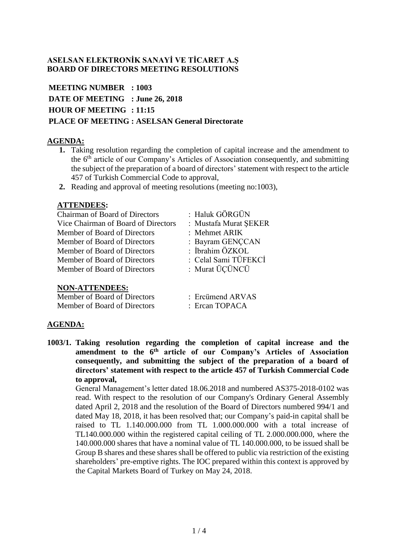# **ASELSAN ELEKTRONİK SANAYİ VE TİCARET A.Ş BOARD OF DIRECTORS MEETING RESOLUTIONS**

**MEETING NUMBER : 1003 DATE OF MEETING : June 26, 2018 HOUR OF MEETING : 11:15 PLACE OF MEETING : ASELSAN General Directorate**

# **AGENDA:**

- **1.** Taking resolution regarding the completion of capital increase and the amendment to the 6th article of our Company's Articles of Association consequently, and submitting the subject of the preparation of a board of directors' statement with respect to the article 457 of Turkish Commercial Code to approval,
- **2.** Reading and approval of meeting resolutions (meeting no:1003),

# **ATTENDEES:**

| <b>Chairman of Board of Directors</b> |  |
|---------------------------------------|--|
| Vice Chairman of Board of Directors   |  |
| Member of Board of Directors          |  |
| Member of Board of Directors          |  |
| Member of Board of Directors          |  |
| Member of Board of Directors          |  |
| Member of Board of Directors          |  |

: Haluk GÖRGÜN

- : Mustafa Murat SEKER
- : Mehmet ARIK
- : Bayram GENCCAN
- : İbrahim ÖZKOL
- : Celal Sami TÜFEKCİ
- : Murat ÜÇÜNCÜ

# **NON-ATTENDEES:**

Member of Board of Directors Freitmend ARVAS Member of Board of Directors : Ercan TOPACA

# **AGENDA:**

**1003/1. Taking resolution regarding the completion of capital increase and the amendment to the 6th article of our Company's Articles of Association consequently, and submitting the subject of the preparation of a board of directors' statement with respect to the article 457 of Turkish Commercial Code to approval,** 

General Management's letter dated 18.06.2018 and numbered AS375-2018-0102 was read. With respect to the resolution of our Company's Ordinary General Assembly dated April 2, 2018 and the resolution of the Board of Directors numbered 994/1 and dated May 18, 2018, it has been resolved that; our Company's paid-in capital shall be raised to TL 1.140.000.000 from TL 1.000.000.000 with a total increase of TL140.000.000 within the registered capital ceiling of TL 2.000.000.000, where the 140.000.000 shares that have a nominal value of TL 140.000.000, to be issued shall be Group B shares and these shares shall be offered to public via restriction of the existing shareholders' pre-emptive rights. The IOC prepared within this context is approved by the Capital Markets Board of Turkey on May 24, 2018.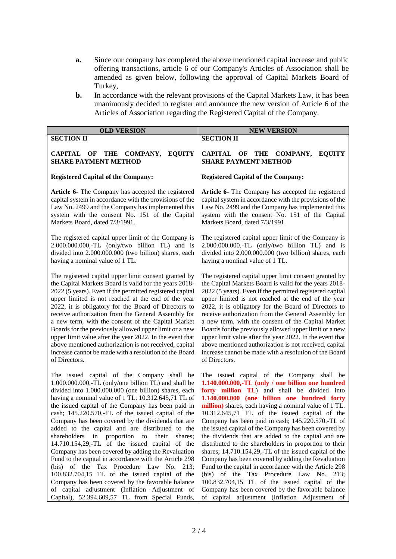- **a.** Since our company has completed the above mentioned capital increase and public offering transactions, article 6 of our Company's Articles of Association shall be amended as given below, following the approval of Capital Markets Board of Turkey,
- **b.** In accordance with the relevant provisions of the Capital Markets Law, it has been unanimously decided to register and announce the new version of Article 6 of the Articles of Association regarding the Registered Capital of the Company.

| <b>OLD VERSION</b>                                                                                                                                                                                                                                                                                                                                                                                                                                                                                                                                                                                                                                                                                                                                                                                                                                                                                                            | <b>NEW VERSION</b>                                                                                                                                                                                                                                                                                                                                                                                                                                                                                                                                                                                                                                                                                                                                                                                                                                                                                                    |  |  |  |
|-------------------------------------------------------------------------------------------------------------------------------------------------------------------------------------------------------------------------------------------------------------------------------------------------------------------------------------------------------------------------------------------------------------------------------------------------------------------------------------------------------------------------------------------------------------------------------------------------------------------------------------------------------------------------------------------------------------------------------------------------------------------------------------------------------------------------------------------------------------------------------------------------------------------------------|-----------------------------------------------------------------------------------------------------------------------------------------------------------------------------------------------------------------------------------------------------------------------------------------------------------------------------------------------------------------------------------------------------------------------------------------------------------------------------------------------------------------------------------------------------------------------------------------------------------------------------------------------------------------------------------------------------------------------------------------------------------------------------------------------------------------------------------------------------------------------------------------------------------------------|--|--|--|
| <b>SECTION II</b>                                                                                                                                                                                                                                                                                                                                                                                                                                                                                                                                                                                                                                                                                                                                                                                                                                                                                                             | <b>SECTION II</b>                                                                                                                                                                                                                                                                                                                                                                                                                                                                                                                                                                                                                                                                                                                                                                                                                                                                                                     |  |  |  |
| CAPITAL OF                                                                                                                                                                                                                                                                                                                                                                                                                                                                                                                                                                                                                                                                                                                                                                                                                                                                                                                    | CAPITAL OF                                                                                                                                                                                                                                                                                                                                                                                                                                                                                                                                                                                                                                                                                                                                                                                                                                                                                                            |  |  |  |
| <b>THE</b>                                                                                                                                                                                                                                                                                                                                                                                                                                                                                                                                                                                                                                                                                                                                                                                                                                                                                                                    | THE                                                                                                                                                                                                                                                                                                                                                                                                                                                                                                                                                                                                                                                                                                                                                                                                                                                                                                                   |  |  |  |
| <b>COMPANY,</b>                                                                                                                                                                                                                                                                                                                                                                                                                                                                                                                                                                                                                                                                                                                                                                                                                                                                                                               | <b>COMPANY,</b>                                                                                                                                                                                                                                                                                                                                                                                                                                                                                                                                                                                                                                                                                                                                                                                                                                                                                                       |  |  |  |
| <b>EQUITY</b>                                                                                                                                                                                                                                                                                                                                                                                                                                                                                                                                                                                                                                                                                                                                                                                                                                                                                                                 | <b>EQUITY</b>                                                                                                                                                                                                                                                                                                                                                                                                                                                                                                                                                                                                                                                                                                                                                                                                                                                                                                         |  |  |  |
| <b>SHARE PAYMENT METHOD</b>                                                                                                                                                                                                                                                                                                                                                                                                                                                                                                                                                                                                                                                                                                                                                                                                                                                                                                   | <b>SHARE PAYMENT METHOD</b>                                                                                                                                                                                                                                                                                                                                                                                                                                                                                                                                                                                                                                                                                                                                                                                                                                                                                           |  |  |  |
| <b>Registered Capital of the Company:</b>                                                                                                                                                                                                                                                                                                                                                                                                                                                                                                                                                                                                                                                                                                                                                                                                                                                                                     | <b>Registered Capital of the Company:</b>                                                                                                                                                                                                                                                                                                                                                                                                                                                                                                                                                                                                                                                                                                                                                                                                                                                                             |  |  |  |
| Article 6- The Company has accepted the registered                                                                                                                                                                                                                                                                                                                                                                                                                                                                                                                                                                                                                                                                                                                                                                                                                                                                            | Article 6- The Company has accepted the registered                                                                                                                                                                                                                                                                                                                                                                                                                                                                                                                                                                                                                                                                                                                                                                                                                                                                    |  |  |  |
| capital system in accordance with the provisions of the                                                                                                                                                                                                                                                                                                                                                                                                                                                                                                                                                                                                                                                                                                                                                                                                                                                                       | capital system in accordance with the provisions of the                                                                                                                                                                                                                                                                                                                                                                                                                                                                                                                                                                                                                                                                                                                                                                                                                                                               |  |  |  |
| Law No. 2499 and the Company has implemented this                                                                                                                                                                                                                                                                                                                                                                                                                                                                                                                                                                                                                                                                                                                                                                                                                                                                             | Law No. 2499 and the Company has implemented this                                                                                                                                                                                                                                                                                                                                                                                                                                                                                                                                                                                                                                                                                                                                                                                                                                                                     |  |  |  |
| system with the consent No. 151 of the Capital                                                                                                                                                                                                                                                                                                                                                                                                                                                                                                                                                                                                                                                                                                                                                                                                                                                                                | system with the consent No. 151 of the Capital                                                                                                                                                                                                                                                                                                                                                                                                                                                                                                                                                                                                                                                                                                                                                                                                                                                                        |  |  |  |
| Markets Board, dated 7/3/1991.                                                                                                                                                                                                                                                                                                                                                                                                                                                                                                                                                                                                                                                                                                                                                                                                                                                                                                | Markets Board, dated 7/3/1991.                                                                                                                                                                                                                                                                                                                                                                                                                                                                                                                                                                                                                                                                                                                                                                                                                                                                                        |  |  |  |
| The registered capital upper limit of the Company is                                                                                                                                                                                                                                                                                                                                                                                                                                                                                                                                                                                                                                                                                                                                                                                                                                                                          | The registered capital upper limit of the Company is                                                                                                                                                                                                                                                                                                                                                                                                                                                                                                                                                                                                                                                                                                                                                                                                                                                                  |  |  |  |
| 2.000.000.000,-TL (only/two billion TL) and is                                                                                                                                                                                                                                                                                                                                                                                                                                                                                                                                                                                                                                                                                                                                                                                                                                                                                | 2.000.000.000,-TL (only/two billion TL) and is                                                                                                                                                                                                                                                                                                                                                                                                                                                                                                                                                                                                                                                                                                                                                                                                                                                                        |  |  |  |
| divided into 2.000.000.000 (two billion) shares, each                                                                                                                                                                                                                                                                                                                                                                                                                                                                                                                                                                                                                                                                                                                                                                                                                                                                         | divided into 2.000.000.000 (two billion) shares, each                                                                                                                                                                                                                                                                                                                                                                                                                                                                                                                                                                                                                                                                                                                                                                                                                                                                 |  |  |  |
| having a nominal value of 1 TL.                                                                                                                                                                                                                                                                                                                                                                                                                                                                                                                                                                                                                                                                                                                                                                                                                                                                                               | having a nominal value of 1 TL.                                                                                                                                                                                                                                                                                                                                                                                                                                                                                                                                                                                                                                                                                                                                                                                                                                                                                       |  |  |  |
| The registered capital upper limit consent granted by                                                                                                                                                                                                                                                                                                                                                                                                                                                                                                                                                                                                                                                                                                                                                                                                                                                                         | The registered capital upper limit consent granted by                                                                                                                                                                                                                                                                                                                                                                                                                                                                                                                                                                                                                                                                                                                                                                                                                                                                 |  |  |  |
| the Capital Markets Board is valid for the years 2018-                                                                                                                                                                                                                                                                                                                                                                                                                                                                                                                                                                                                                                                                                                                                                                                                                                                                        | the Capital Markets Board is valid for the years 2018-                                                                                                                                                                                                                                                                                                                                                                                                                                                                                                                                                                                                                                                                                                                                                                                                                                                                |  |  |  |
| 2022 (5 years). Even if the permitted registered capital                                                                                                                                                                                                                                                                                                                                                                                                                                                                                                                                                                                                                                                                                                                                                                                                                                                                      | 2022 (5 years). Even if the permitted registered capital                                                                                                                                                                                                                                                                                                                                                                                                                                                                                                                                                                                                                                                                                                                                                                                                                                                              |  |  |  |
| upper limited is not reached at the end of the year                                                                                                                                                                                                                                                                                                                                                                                                                                                                                                                                                                                                                                                                                                                                                                                                                                                                           | upper limited is not reached at the end of the year                                                                                                                                                                                                                                                                                                                                                                                                                                                                                                                                                                                                                                                                                                                                                                                                                                                                   |  |  |  |
| 2022, it is obligatory for the Board of Directors to                                                                                                                                                                                                                                                                                                                                                                                                                                                                                                                                                                                                                                                                                                                                                                                                                                                                          | 2022, it is obligatory for the Board of Directors to                                                                                                                                                                                                                                                                                                                                                                                                                                                                                                                                                                                                                                                                                                                                                                                                                                                                  |  |  |  |
| receive authorization from the General Assembly for                                                                                                                                                                                                                                                                                                                                                                                                                                                                                                                                                                                                                                                                                                                                                                                                                                                                           | receive authorization from the General Assembly for                                                                                                                                                                                                                                                                                                                                                                                                                                                                                                                                                                                                                                                                                                                                                                                                                                                                   |  |  |  |
| a new term, with the consent of the Capital Market                                                                                                                                                                                                                                                                                                                                                                                                                                                                                                                                                                                                                                                                                                                                                                                                                                                                            | a new term, with the consent of the Capital Market                                                                                                                                                                                                                                                                                                                                                                                                                                                                                                                                                                                                                                                                                                                                                                                                                                                                    |  |  |  |
| Boards for the previously allowed upper limit or a new                                                                                                                                                                                                                                                                                                                                                                                                                                                                                                                                                                                                                                                                                                                                                                                                                                                                        | Boards for the previously allowed upper limit or a new                                                                                                                                                                                                                                                                                                                                                                                                                                                                                                                                                                                                                                                                                                                                                                                                                                                                |  |  |  |
| upper limit value after the year 2022. In the event that                                                                                                                                                                                                                                                                                                                                                                                                                                                                                                                                                                                                                                                                                                                                                                                                                                                                      | upper limit value after the year 2022. In the event that                                                                                                                                                                                                                                                                                                                                                                                                                                                                                                                                                                                                                                                                                                                                                                                                                                                              |  |  |  |
| above mentioned authorization is not received, capital                                                                                                                                                                                                                                                                                                                                                                                                                                                                                                                                                                                                                                                                                                                                                                                                                                                                        | above mentioned authorization is not received, capital                                                                                                                                                                                                                                                                                                                                                                                                                                                                                                                                                                                                                                                                                                                                                                                                                                                                |  |  |  |
| increase cannot be made with a resolution of the Board                                                                                                                                                                                                                                                                                                                                                                                                                                                                                                                                                                                                                                                                                                                                                                                                                                                                        | increase cannot be made with a resolution of the Board                                                                                                                                                                                                                                                                                                                                                                                                                                                                                                                                                                                                                                                                                                                                                                                                                                                                |  |  |  |
| of Directors.                                                                                                                                                                                                                                                                                                                                                                                                                                                                                                                                                                                                                                                                                                                                                                                                                                                                                                                 | of Directors.                                                                                                                                                                                                                                                                                                                                                                                                                                                                                                                                                                                                                                                                                                                                                                                                                                                                                                         |  |  |  |
| The issued capital of the Company shall be<br>1.000.000.000,-TL (only/one billion TL) and shall be<br>divided into 1.000.000.000 (one billion) shares, each<br>having a nominal value of 1 TL. 10.312.645,71 TL of<br>the issued capital of the Company has been paid in<br>cash; 145.220.570,-TL of the issued capital of the<br>Company has been covered by the dividends that are<br>added to the capital and are distributed to the<br>shareholders<br>in<br>proportion<br>to<br>their<br>shares:<br>14.710.154,29,-TL of the issued capital of the<br>Company has been covered by adding the Revaluation<br>Fund to the capital in accordance with the Article 298<br>(bis) of the Tax Procedure Law No. 213;<br>100.832.704,15 TL of the issued capital of the<br>Company has been covered by the favorable balance<br>of capital adjustment (Inflation Adjustment of<br>Capital), 52.394.609,57 TL from Special Funds, | The issued capital of the Company shall be<br>1.140.000.000,-TL (only / one billion one hundred<br>forty million TL) and shall be divided into<br>1.140.000.000 (one billion one hundred forty<br>million) shares, each having a nominal value of 1 TL.<br>10.312.645,71 TL of the issued capital of the<br>Company has been paid in cash; 145.220.570,-TL of<br>the issued capital of the Company has been covered by<br>the dividends that are added to the capital and are<br>distributed to the shareholders in proportion to their<br>shares; 14.710.154,29,-TL of the issued capital of the<br>Company has been covered by adding the Revaluation<br>Fund to the capital in accordance with the Article 298<br>(bis) of the Tax Procedure Law No. 213;<br>100.832.704,15 TL of the issued capital of the<br>Company has been covered by the favorable balance<br>of capital adjustment (Inflation Adjustment of |  |  |  |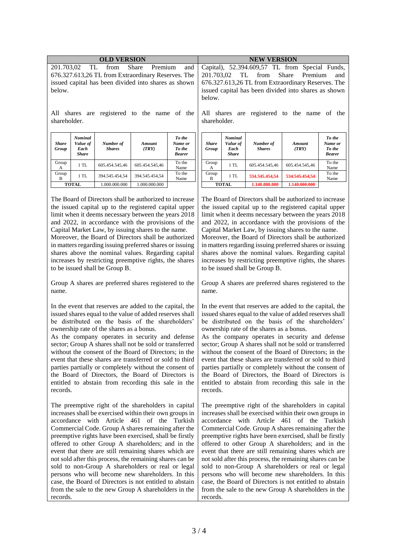| <b>OLD VERSION</b>                                                                                                                                                           |                                                    |                            |                                                                                                                                                                                                                                       | <b>NEW VERSION</b>                           |                                                                                                                 |                                                    |                            |                        |                                              |
|------------------------------------------------------------------------------------------------------------------------------------------------------------------------------|----------------------------------------------------|----------------------------|---------------------------------------------------------------------------------------------------------------------------------------------------------------------------------------------------------------------------------------|----------------------------------------------|-----------------------------------------------------------------------------------------------------------------|----------------------------------------------------|----------------------------|------------------------|----------------------------------------------|
| 201.703,02<br>Share<br>TL.<br>from<br>Premium<br>and<br>676.327.613,26 TL from Extraordinary Reserves. The<br>issued capital has been divided into shares as shown<br>below. |                                                    |                            | Capital), 52.394.609.57 TL from Special Funds,<br>201.703,02<br>from<br><b>Share</b><br>Premium<br>TL.<br>and<br>676.327.613,26 TL from Extraordinary Reserves. The<br>issued capital has been divided into shares as shown<br>below. |                                              |                                                                                                                 |                                                    |                            |                        |                                              |
| All shares are registered to the name of the<br>shareholder.                                                                                                                 |                                                    |                            | All shares are registered to the name of the<br>shareholder.                                                                                                                                                                          |                                              |                                                                                                                 |                                                    |                            |                        |                                              |
| <b>Share</b><br>Group                                                                                                                                                        | <b>Nominal</b><br>Value of<br>Each<br><b>Share</b> | Number of<br><b>Shares</b> | Amount<br>(TRY)                                                                                                                                                                                                                       | To the<br>Name or<br>To the<br><b>Bearer</b> | <b>Share</b><br>Group                                                                                           | <b>Nominal</b><br>Value of<br>Each<br><b>Share</b> | Number of<br><b>Shares</b> | <b>Amount</b><br>(TRY) | To the<br>Name or<br>To the<br><b>Bearer</b> |
| Group<br>A                                                                                                                                                                   | 1 TL                                               | 605.454.545,46             | 605.454.545,46                                                                                                                                                                                                                        | To the<br>Name                               | Group<br>A                                                                                                      | 1TL                                                | 605.454.545,46             | 605.454.545,46         | To the<br>Name                               |
| Group<br>B                                                                                                                                                                   | 1 TL                                               | 394.545.454,54             | 394.545.454,54                                                                                                                                                                                                                        | To the<br>Name                               | Group<br>B                                                                                                      | 1TL                                                | 534.545.454,54             | 534.545.454,54         | To the<br>Name                               |
|                                                                                                                                                                              | <b>TOTAL</b>                                       | 1.000.000.000              | 1.000.000.000                                                                                                                                                                                                                         |                                              |                                                                                                                 | <b>TOTAL</b>                                       | 1.140.000.000              | 1.140.000.000          |                                              |
| The Board of Directors shall be authorized to increase<br>the iccurate conital un to the registered conital unner                                                            |                                                    |                            |                                                                                                                                                                                                                                       |                                              | The Board of Directors shall be authorized to increase<br>the icound conital un to the monistered conital unnea |                                                    |                            |                        |                                              |

the issued capital up to the registered capital upper limit when it deems necessary between the years 2018 and 2022, in accordance with the provisions of the Capital Market Law, by issuing shares to the name.

Moreover, the Board of Directors shall be authorized in matters regarding issuing preferred shares or issuing shares above the nominal values. Regarding capital increases by restricting preemptive rights, the shares to be issued shall be Group B.

Group A shares are preferred shares registered to the name.

In the event that reserves are added to the capital, the issued shares equal to the value of added reserves shall be distributed on the basis of the shareholders' ownership rate of the shares as a bonus.

As the company operates in security and defense sector; Group A shares shall not be sold or transferred without the consent of the Board of Directors; in the event that these shares are transferred or sold to third parties partially or completely without the consent of the Board of Directors, the Board of Directors is entitled to abstain from recording this sale in the records.

The preemptive right of the shareholders in capital increases shall be exercised within their own groups in accordance with Article 461 of the Turkish Commercial Code. Group A shares remaining after the preemptive rights have been exercised, shall be firstly offered to other Group A shareholders; and in the event that there are still remaining shares which are not sold after this process, the remaining shares can be sold to non-Group A shareholders or real or legal persons who will become new shareholders. In this case, the Board of Directors is not entitled to abstain from the sale to the new Group A shareholders in the records.

the issued capital up to the registered capital upper limit when it deems necessary between the years 2018 and 2022, in accordance with the provisions of the Capital Market Law, by issuing shares to the name. Moreover, the Board of Directors shall be authorized in matters regarding issuing preferred shares or issuing shares above the nominal values. Regarding capital increases by restricting preemptive rights, the shares to be issued shall be Group B.

Group A shares are preferred shares registered to the name.

In the event that reserves are added to the capital, the issued shares equal to the value of added reserves shall be distributed on the basis of the shareholders' ownership rate of the shares as a bonus.

As the company operates in security and defense sector; Group A shares shall not be sold or transferred without the consent of the Board of Directors; in the event that these shares are transferred or sold to third parties partially or completely without the consent of the Board of Directors, the Board of Directors is entitled to abstain from recording this sale in the records.

The preemptive right of the shareholders in capital increases shall be exercised within their own groups in accordance with Article 461 of the Turkish Commercial Code. Group A shares remaining after the preemptive rights have been exercised, shall be firstly offered to other Group A shareholders; and in the event that there are still remaining shares which are not sold after this process, the remaining shares can be sold to non-Group A shareholders or real or legal persons who will become new shareholders. In this case, the Board of Directors is not entitled to abstain from the sale to the new Group A shareholders in the records.